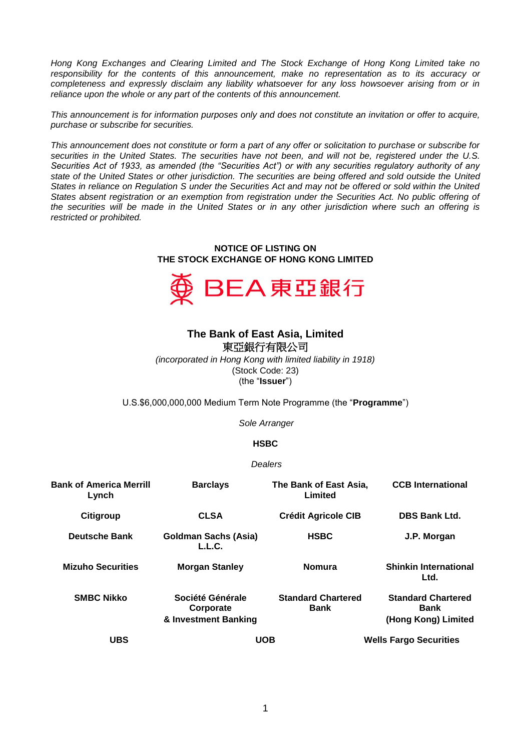*Hong Kong Exchanges and Clearing Limited and The Stock Exchange of Hong Kong Limited take no responsibility for the contents of this announcement, make no representation as to its accuracy or completeness and expressly disclaim any liability whatsoever for any loss howsoever arising from or in reliance upon the whole or any part of the contents of this announcement.*

*This announcement is for information purposes only and does not constitute an invitation or offer to acquire, purchase or subscribe for securities.*

*This announcement does not constitute or form a part of any offer or solicitation to purchase or subscribe for securities in the United States. The securities have not been, and will not be, registered under the U.S. Securities Act of 1933, as amended (the "Securities Act") or with any securities regulatory authority of any state of the United States or other jurisdiction. The securities are being offered and sold outside the United States in reliance on Regulation S under the Securities Act and may not be offered or sold within the United*  States absent registration or an exemption from registration under the Securities Act. No public offering of *the securities will be made in the United States or in any other jurisdiction where such an offering is restricted or prohibited.*

## **NOTICE OF LISTING ON THE STOCK EXCHANGE OF HONG KONG LIMITED**



## **The Bank of East Asia, Limited**  東亞銀行有限公司

*(incorporated in Hong Kong with limited liability in 1918)* (Stock Code: 23) (the "**Issuer**")

U.S.\$6,000,000,000 Medium Term Note Programme (the "**Programme**")

*Sole Arranger*

## **HSBC**

## *Dealers*

| <b>Bank of America Merrill</b><br>Lynch | <b>Barclays</b>                                       | The Bank of East Asia,<br>Limited        | <b>CCB</b> International                                        |
|-----------------------------------------|-------------------------------------------------------|------------------------------------------|-----------------------------------------------------------------|
| Citigroup                               | <b>CLSA</b>                                           | <b>Crédit Agricole CIB</b>               | <b>DBS Bank Ltd.</b>                                            |
| <b>Deutsche Bank</b>                    | Goldman Sachs (Asia)<br>L.L.C.                        | <b>HSBC</b>                              | J.P. Morgan                                                     |
| <b>Mizuho Securities</b>                | <b>Morgan Stanley</b>                                 | <b>Nomura</b>                            | <b>Shinkin International</b><br>Ltd.                            |
| <b>SMBC Nikko</b>                       | Société Générale<br>Corporate<br>& Investment Banking | <b>Standard Chartered</b><br><b>Bank</b> | <b>Standard Chartered</b><br><b>Bank</b><br>(Hong Kong) Limited |
| <b>UBS</b>                              | <b>UOB</b>                                            |                                          | <b>Wells Fargo Securities</b>                                   |